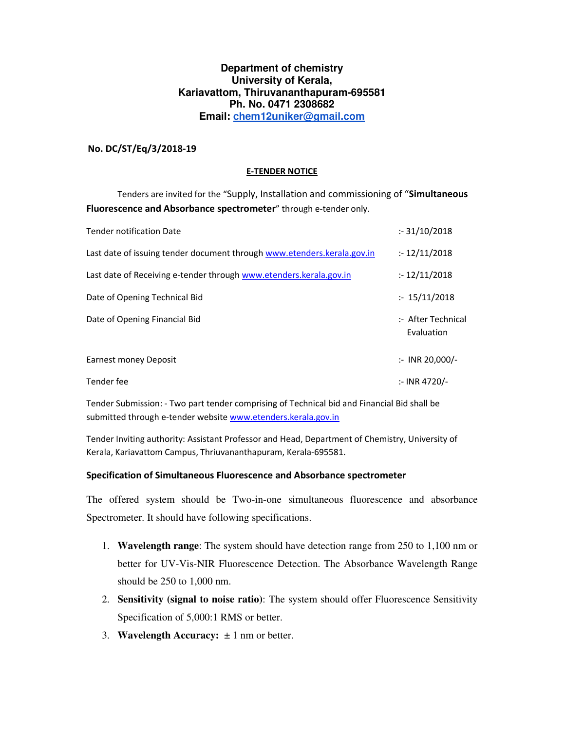### **Department of chemistry University of Kerala, Kariavattom, Thiruvananthapuram-695581 Ph. No. 0471 2308682 Email: chem12uniker@gmail.com**

### **No. DC/ST/Eq/3/2018-19**

#### **E-TENDER NOTICE**

 Tenders are invited for the "Supply, Installation and commissioning of "**Simultaneous Fluorescence and Absorbance spectrometer**" through e-tender only.

| <b>Tender notification Date</b>                                         | : 31/10/2018                     |
|-------------------------------------------------------------------------|----------------------------------|
| Last date of issuing tender document through www.etenders.kerala.gov.in | : 12/11/2018                     |
| Last date of Receiving e-tender through www.etenders.kerala.gov.in      | : 12/11/2018                     |
| Date of Opening Technical Bid                                           | : 15/11/2018                     |
| Date of Opening Financial Bid                                           | :- After Technical<br>Evaluation |
| Earnest money Deposit                                                   | $\therefore$ INR 20,000/-        |
| Tender fee                                                              | :- INR 4720/-                    |

Tender Submission: - Two part tender comprising of Technical bid and Financial Bid shall be submitted through e-tender website www.etenders.kerala.gov.in

Tender Inviting authority: Assistant Professor and Head, Department of Chemistry, University of Kerala, Kariavattom Campus, Thriuvananthapuram, Kerala-695581.

#### **Specification of Simultaneous Fluorescence and Absorbance spectrometer**

The offered system should be Two-in-one simultaneous fluorescence and absorbance Spectrometer. It should have following specifications.

- 1. **Wavelength range**: The system should have detection range from 250 to 1,100 nm or better for UV-Vis-NIR Fluorescence Detection. The Absorbance Wavelength Range should be 250 to 1,000 nm.
- 2. **Sensitivity (signal to noise ratio)**: The system should offer Fluorescence Sensitivity Specification of 5,000:1 RMS or better.
- 3. **Wavelength Accuracy:**  $\pm 1$  nm or better.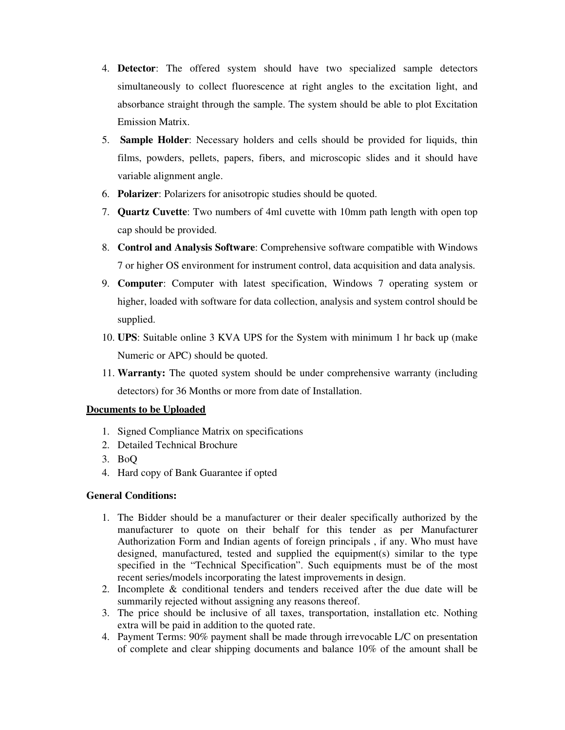- 4. **Detector**: The offered system should have two specialized sample detectors simultaneously to collect fluorescence at right angles to the excitation light, and absorbance straight through the sample. The system should be able to plot Excitation Emission Matrix.
- 5. **Sample Holder**: Necessary holders and cells should be provided for liquids, thin films, powders, pellets, papers, fibers, and microscopic slides and it should have variable alignment angle.
- 6. **Polarizer**: Polarizers for anisotropic studies should be quoted.
- 7. **Quartz Cuvette**: Two numbers of 4ml cuvette with 10mm path length with open top cap should be provided.
- 8. **Control and Analysis Software**: Comprehensive software compatible with Windows 7 or higher OS environment for instrument control, data acquisition and data analysis.
- 9. **Computer**: Computer with latest specification, Windows 7 operating system or higher, loaded with software for data collection, analysis and system control should be supplied.
- 10. **UPS**: Suitable online 3 KVA UPS for the System with minimum 1 hr back up (make Numeric or APC) should be quoted.
- 11. **Warranty:** The quoted system should be under comprehensive warranty (including detectors) for 36 Months or more from date of Installation.

# **Documents to be Uploaded**

- 1. Signed Compliance Matrix on specifications
- 2. Detailed Technical Brochure
- 3. BoQ
- 4. Hard copy of Bank Guarantee if opted

# **General Conditions:**

- 1. The Bidder should be a manufacturer or their dealer specifically authorized by the manufacturer to quote on their behalf for this tender as per Manufacturer Authorization Form and Indian agents of foreign principals , if any. Who must have designed, manufactured, tested and supplied the equipment(s) similar to the type specified in the "Technical Specification". Such equipments must be of the most recent series/models incorporating the latest improvements in design.
- 2. Incomplete & conditional tenders and tenders received after the due date will be summarily rejected without assigning any reasons thereof.
- 3. The price should be inclusive of all taxes, transportation, installation etc. Nothing extra will be paid in addition to the quoted rate.
- 4. Payment Terms: 90% payment shall be made through irrevocable L/C on presentation of complete and clear shipping documents and balance 10% of the amount shall be